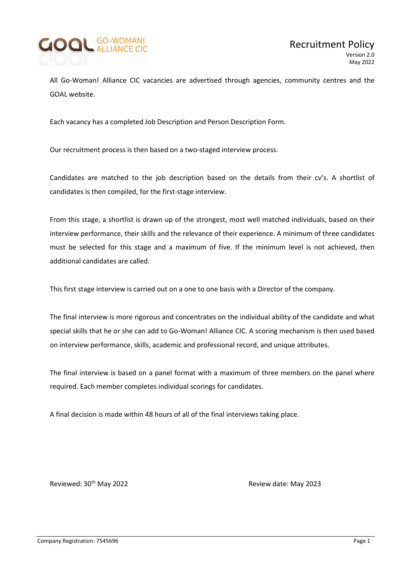

All Go-Woman! Alliance CIC vacancies are advertised through agencies, community centres and the GOAL website.

Each vacancy has a completed Job Description and Person Description Form.

Our recruitment process is then based on a two-staged interview process.

Candidates are matched to the job description based on the details from their cv's. A shortlist of candidates is then compiled, for the first-stage interview.

From this stage, a shortlist is drawn up of the strongest, most well matched individuals, based on their interview performance, their skills and the relevance of their experience. A minimum of three candidates must be selected for this stage and a maximum of five. If the minimum level is not achieved, then additional candidates are called.

This first stage interview is carried out on a one to one basis with a Director of the company.

The final interview is more rigorous and concentrates on the individual ability of the candidate and what special skills that he or she can add to Go-Woman! Alliance CIC. A scoring mechanism is then used based on interview performance, skills, academic and professional record, and unique attributes.

The final interview is based on a panel format with a maximum of three members on the panel where required. Each member completes individual scorings for candidates.

A final decision is made within 48 hours of all of the final interviews taking place.

Reviewed: 30<sup>th</sup> May 2022 **Review date: May 2023**